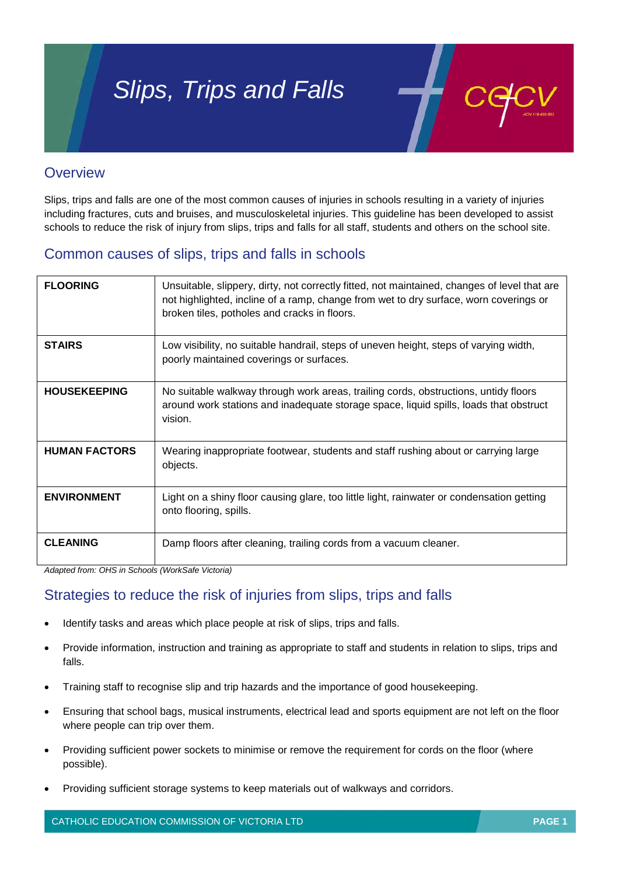# *Slips, Trips and Falls*



## **Overview**

Slips, trips and falls are one of the most common causes of injuries in schools resulting in a variety of injuries including fractures, cuts and bruises, and musculoskeletal injuries. This guideline has been developed to assist schools to reduce the risk of injury from slips, trips and falls for all staff, students and others on the school site.

# Common causes of slips, trips and falls in schools

| <b>FLOORING</b>      | Unsuitable, slippery, dirty, not correctly fitted, not maintained, changes of level that are<br>not highlighted, incline of a ramp, change from wet to dry surface, worn coverings or<br>broken tiles, potholes and cracks in floors. |
|----------------------|---------------------------------------------------------------------------------------------------------------------------------------------------------------------------------------------------------------------------------------|
| <b>STAIRS</b>        | Low visibility, no suitable handrail, steps of uneven height, steps of varying width,<br>poorly maintained coverings or surfaces.                                                                                                     |
| <b>HOUSEKEEPING</b>  | No suitable walkway through work areas, trailing cords, obstructions, untidy floors<br>around work stations and inadequate storage space, liquid spills, loads that obstruct<br>vision.                                               |
| <b>HUMAN FACTORS</b> | Wearing inappropriate footwear, students and staff rushing about or carrying large<br>objects.                                                                                                                                        |
| <b>ENVIRONMENT</b>   | Light on a shiny floor causing glare, too little light, rainwater or condensation getting<br>onto flooring, spills.                                                                                                                   |
| <b>CLEANING</b>      | Damp floors after cleaning, trailing cords from a vacuum cleaner.                                                                                                                                                                     |

*Adapted from: OHS in Schools (WorkSafe Victoria)*

# Strategies to reduce the risk of injuries from slips, trips and falls

- Identify tasks and areas which place people at risk of slips, trips and falls.
- Provide information, instruction and training as appropriate to staff and students in relation to slips, trips and falls.
- Training staff to recognise slip and trip hazards and the importance of good housekeeping.
- Ensuring that school bags, musical instruments, electrical lead and sports equipment are not left on the floor where people can trip over them.
- Providing sufficient power sockets to minimise or remove the requirement for cords on the floor (where possible).
- Providing sufficient storage systems to keep materials out of walkways and corridors.